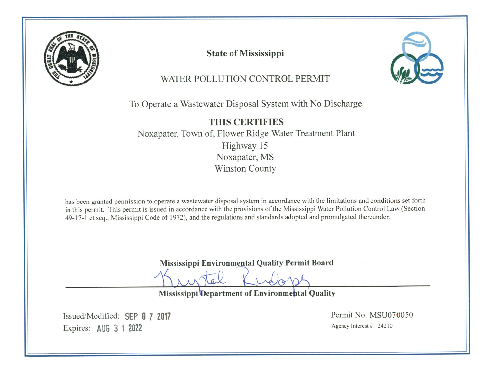

**State of Mississippi** 



# WATER POLLUTION CONTROL PERMIT

To Operate a Wastewater Disposal System with No Discharge

**THIS CERTIFIES** Noxapater, Town of, Flower Ridge Water Treatment Plant Highway 15 Noxapater, MS **Winston County** 

has been granted permission to operate a wastewater disposal system in accordance with the limitations and conditions set forth in this permit. This permit is issued in accordance with the provisions of the Mississippi Water Pollution Control Law (Section 49-17-1 et seq., Mississippi Code of 1972), and the regulations and standards adopted and promulgated thereunder.

Mississippi Environmental Quality Permit Board

Mississippi Department of Environmental Quality

Issued/Modified: SEP 0 7 2017 Expires: AUG 3 1 2022

Permit No. MSU070050 Agency Interest  $\#$  24210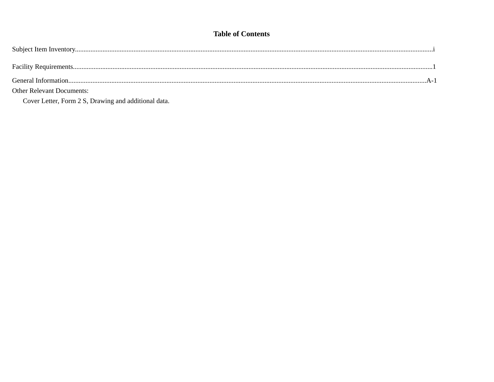## **Table of Contents**

| <b>Other Relevant Documents:</b> |  |
|----------------------------------|--|

Cover Letter, Form 2 S, Drawing and additional data.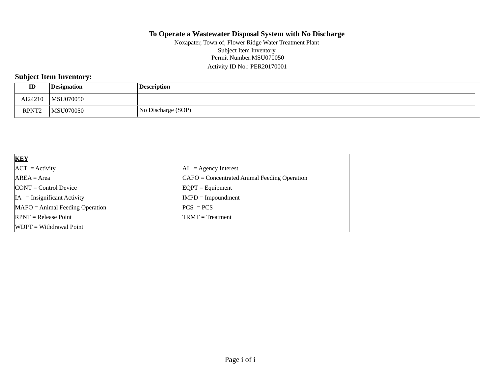Permit Number:MSU070050 Activity ID No.: PER20170001 Noxapater, Town of, Flower Ridge Water Treatment Plant Subject Item Inventory

## **Subject Item Inventory:**

| ID                | <b>Designation</b> | <b>Description</b> |
|-------------------|--------------------|--------------------|
| AI24210           | <b>MSU070050</b>   |                    |
| RPNT <sub>2</sub> | <b>MSU070050</b>   | No Discharge (SOP) |

| <b>KEY</b>                            |                                                |
|---------------------------------------|------------------------------------------------|
| $ACT = Activity$                      | $AI = Agency Interest$                         |
| $AREA = Area$                         | $CAFO =$ Concentrated Animal Feeding Operation |
| $\text{CONT} = \text{Control Device}$ | $EQPT = Equipment$                             |
| $IA = Insignificant Activity$         | $IMPD = Impoundment$                           |
| $MAFO = Animal Feeding Operation$     | $PCS = PCS$                                    |
| $RPNT = Release Point$                | $TRMT = Treatment$                             |
| $WDPT = Without$ Withdrawal Point     |                                                |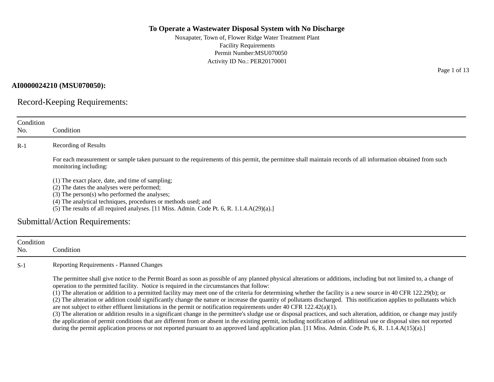Noxapater, Town of, Flower Ridge Water Treatment Plant Facility Requirements Permit Number:MSU070050 Activity ID No.: PER20170001

#### **AI0000024210 (MSU070050):**

Record-Keeping Requirements:

| Condition<br>No. | Condition                                                                                                                                                                                                                                                                                                          |
|------------------|--------------------------------------------------------------------------------------------------------------------------------------------------------------------------------------------------------------------------------------------------------------------------------------------------------------------|
| $R-1$            | <b>Recording of Results</b>                                                                                                                                                                                                                                                                                        |
|                  | For each measurement or sample taken pursuant to the requirements of this permit, the permittee shall maintain records of all information obtained from such<br>monitoring including:                                                                                                                              |
|                  | (1) The exact place, date, and time of sampling;<br>(2) The dates the analyses were performed;<br>(3) The person(s) who performed the analyses;<br>(4) The analytical techniques, procedures or methods used; and<br>(5) The results of all required analyses. [11 Miss. Admin. Code Pt. 6, R. $1.1.4.A(29)(a).$ ] |
|                  | Submittal/Action Requirements:                                                                                                                                                                                                                                                                                     |
| Condition<br>No. | Condition                                                                                                                                                                                                                                                                                                          |
| $S-1$            | Reporting Requirements - Planned Changes                                                                                                                                                                                                                                                                           |
|                  | The permittee shall give notice to the Permit Board as soon as possible of any planned physical alterations or additions, including but not limited to, a change of<br>operation to the permitted facility. Notice is required in the circumstances that follow:                                                   |

(1) The alteration or addition to a permitted facility may meet one of the criteria for determining whether the facility is a new source in 40 CFR 122.29(b); or

(2) The alteration or addition could significantly change the nature or increase the quantity of pollutants discharged. This notification applies to pollutants which are not subject to either effluent limitations in the permit or notification requirements under 40 CFR 122.42(a)(1).

(3) The alteration or addition results in a significant change in the permittee's sludge use or disposal practices, and such alteration, addition, or change may justify the application of permit conditions that are different from or absent in the existing permit, including notification of additional use or disposal sites not reported during the permit application process or not reported pursuant to an approved land application plan. [11 Miss. Admin. Code Pt. 6, R. 1.1.4.A(15)(a).]

Page 1 of 13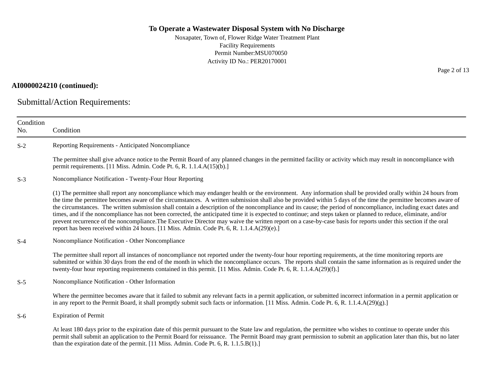Noxapater, Town of, Flower Ridge Water Treatment Plant Facility Requirements Permit Number:MSU070050 Activity ID No.: PER20170001

#### **AI0000024210 (continued):**

Submittal/Action Requirements:

| Condition<br>No. | Condition                                                                                                                                                                                                                                                                                                                                                                                                                                                                                                                                                                                                                                                                                                                                                                                                                                                                                                                                |
|------------------|------------------------------------------------------------------------------------------------------------------------------------------------------------------------------------------------------------------------------------------------------------------------------------------------------------------------------------------------------------------------------------------------------------------------------------------------------------------------------------------------------------------------------------------------------------------------------------------------------------------------------------------------------------------------------------------------------------------------------------------------------------------------------------------------------------------------------------------------------------------------------------------------------------------------------------------|
| $S-2$            | Reporting Requirements - Anticipated Noncompliance                                                                                                                                                                                                                                                                                                                                                                                                                                                                                                                                                                                                                                                                                                                                                                                                                                                                                       |
|                  | The permittee shall give advance notice to the Permit Board of any planned changes in the permitted facility or activity which may result in noncompliance with<br>permit requirements. [11 Miss. Admin. Code Pt. 6, R. 1.1.4.A(15)(b).]                                                                                                                                                                                                                                                                                                                                                                                                                                                                                                                                                                                                                                                                                                 |
| $S-3$            | Noncompliance Notification - Twenty-Four Hour Reporting                                                                                                                                                                                                                                                                                                                                                                                                                                                                                                                                                                                                                                                                                                                                                                                                                                                                                  |
|                  | (1) The permittee shall report any noncompliance which may endanger health or the environment. Any information shall be provided orally within 24 hours from<br>the time the permittee becomes aware of the circumstances. A written submission shall also be provided within 5 days of the time the permittee becomes aware of<br>the circumstances. The written submission shall contain a description of the noncompliance and its cause; the period of noncompliance, including exact dates and<br>times, and if the noncompliance has not been corrected, the anticipated time it is expected to continue; and steps taken or planned to reduce, eliminate, and/or<br>prevent recurrence of the noncompliance. The Executive Director may waive the written report on a case-by-case basis for reports under this section if the oral<br>report has been received within 24 hours. [11 Miss. Admin. Code Pt. 6, R. 1.1.4.A(29)(e).] |
| $S-4$            | Noncompliance Notification - Other Noncompliance                                                                                                                                                                                                                                                                                                                                                                                                                                                                                                                                                                                                                                                                                                                                                                                                                                                                                         |
|                  | The permittee shall report all instances of noncompliance not reported under the twenty-four hour reporting requirements, at the time monitoring reports are<br>submitted or within 30 days from the end of the month in which the noncompliance occurs. The reports shall contain the same information as is required under the<br>twenty-four hour reporting requirements contained in this permit. [11 Miss. Admin. Code Pt. 6, R. 1.1.4.A(29)(f).]                                                                                                                                                                                                                                                                                                                                                                                                                                                                                   |
| $S-5$            | Noncompliance Notification - Other Information                                                                                                                                                                                                                                                                                                                                                                                                                                                                                                                                                                                                                                                                                                                                                                                                                                                                                           |
|                  | Where the permittee becomes aware that it failed to submit any relevant facts in a permit application, or submitted incorrect information in a permit application or<br>in any report to the Permit Board, it shall promptly submit such facts or information. [11 Miss. Admin. Code Pt. 6, R. 1.1.4.A(29)(g).]                                                                                                                                                                                                                                                                                                                                                                                                                                                                                                                                                                                                                          |
| $S-6$            | <b>Expiration of Permit</b>                                                                                                                                                                                                                                                                                                                                                                                                                                                                                                                                                                                                                                                                                                                                                                                                                                                                                                              |
|                  | At least 180 days prior to the expiration date of this permit pursuant to the State law and regulation, the permittee who wishes to continue to operate under this<br>permit shall submit an application to the Permit Board for reissuance. The Permit Board may grant permission to submit an application later than this, but no later<br>than the expiration date of the permit. [11 Miss. Admin. Code Pt. 6, R. 1.1.5.B(1).]                                                                                                                                                                                                                                                                                                                                                                                                                                                                                                        |

Page 2 of 13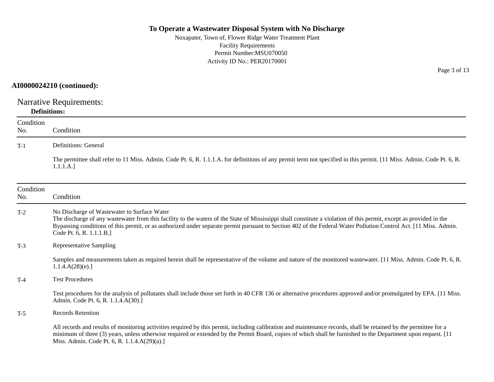Noxapater, Town of, Flower Ridge Water Treatment Plant Facility Requirements Permit Number:MSU070050 Activity ID No.: PER20170001

## **AI0000024210 (continued):**

Narrative Requirements: **Definitions:**

| Condition<br>No. | Condition                                                                                                                                                                                                                                                                                                                                                                                                          |
|------------------|--------------------------------------------------------------------------------------------------------------------------------------------------------------------------------------------------------------------------------------------------------------------------------------------------------------------------------------------------------------------------------------------------------------------|
| $T-1$            | <b>Definitions: General</b>                                                                                                                                                                                                                                                                                                                                                                                        |
|                  | The permittee shall refer to 11 Miss. Admin. Code Pt. 6, R. 1.1.1.A. for definitions of any permit term not specified in this permit. [11 Miss. Admin. Code Pt. 6, R.<br>1.1.1.A.]                                                                                                                                                                                                                                 |
| Condition<br>No. | Condition                                                                                                                                                                                                                                                                                                                                                                                                          |
| $T-2$            | No Discharge of Wastewater to Surface Water<br>The discharge of any wastewater from this facility to the waters of the State of Mississippi shall constitute a violation of this permit, except as provided in the<br>Bypassing conditions of this permit, or as authorized under separate permit pursuant to Section 402 of the Federal Water Pollution Control Act. [11 Miss. Admin.<br>Code Pt. 6, R. 1.1.1.B.] |
| $T-3$            | <b>Representative Sampling</b>                                                                                                                                                                                                                                                                                                                                                                                     |
|                  | Samples and measurements taken as required herein shall be representative of the volume and nature of the monitored wastewater. [11 Miss. Admin. Code Pt. 6, R.<br>1.1.4.A(28)(e).                                                                                                                                                                                                                                 |
| $T-4$            | <b>Test Procedures</b>                                                                                                                                                                                                                                                                                                                                                                                             |
|                  | Test procedures for the analysis of pollutants shall include those set forth in 40 CFR 136 or alternative procedures approved and/or promulgated by EPA. [11 Miss.]<br>Admin. Code Pt. 6, R. 1.1.4.A(30).]                                                                                                                                                                                                         |
| $T-5$            | <b>Records Retention</b>                                                                                                                                                                                                                                                                                                                                                                                           |
|                  | All records and results of monitoring activities required by this permit, including calibration and maintenance records, shall be retained by the permittee for a<br>minimum of three (3) years, unless otherwise required or extended by the Permit Board, copies of which shall be furnished to the Department upon request. [11]<br>Miss. Admin. Code Pt. 6, R. 1.1.4.A(29)(a).]                                |

Page 3 of 13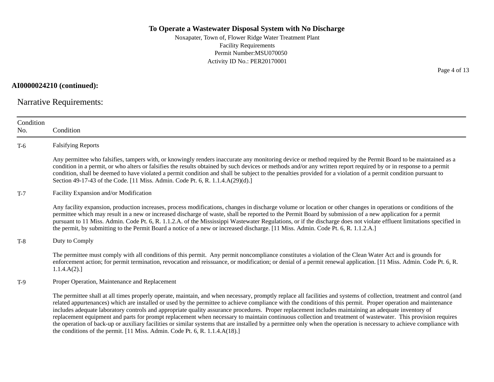Noxapater, Town of, Flower Ridge Water Treatment Plant Facility Requirements Permit Number:MSU070050 Activity ID No.: PER20170001

**AI0000024210 (continued):**

Narrative Requirements:

| Condition<br>No. | Condition                                                                                                                                                                                                                                                                                                                                                                                                                                                                                                                                                                                                                                                                                                                                                                                                                                                                                                                |
|------------------|--------------------------------------------------------------------------------------------------------------------------------------------------------------------------------------------------------------------------------------------------------------------------------------------------------------------------------------------------------------------------------------------------------------------------------------------------------------------------------------------------------------------------------------------------------------------------------------------------------------------------------------------------------------------------------------------------------------------------------------------------------------------------------------------------------------------------------------------------------------------------------------------------------------------------|
| $T-6$            | <b>Falsifying Reports</b>                                                                                                                                                                                                                                                                                                                                                                                                                                                                                                                                                                                                                                                                                                                                                                                                                                                                                                |
|                  | Any permittee who falsifies, tampers with, or knowingly renders inaccurate any monitoring device or method required by the Permit Board to be maintained as a<br>condition in a permit, or who alters or falsifies the results obtained by such devices or methods and/or any written report required by or in response to a permit<br>condition, shall be deemed to have violated a permit condition and shall be subject to the penalties provided for a violation of a permit condition pursuant to<br>Section 49-17-43 of the Code. [11 Miss. Admin. Code Pt. 6, R. 1.1.4.A(29)(d).]                                                                                                                                                                                                                                                                                                                                 |
| $T-7$            | Facility Expansion and/or Modification                                                                                                                                                                                                                                                                                                                                                                                                                                                                                                                                                                                                                                                                                                                                                                                                                                                                                   |
|                  | Any facility expansion, production increases, process modifications, changes in discharge volume or location or other changes in operations or conditions of the<br>permittee which may result in a new or increased discharge of waste, shall be reported to the Permit Board by submission of a new application for a permit<br>pursuant to 11 Miss. Admin. Code Pt. 6, R. 1.1.2.A. of the Mississippi Wastewater Regulations, or if the discharge does not violate effluent limitations specified in<br>the permit, by submitting to the Permit Board a notice of a new or increased discharge. [11 Miss. Admin. Code Pt. 6, R. 1.1.2.A.]                                                                                                                                                                                                                                                                             |
| $T-8$            | Duty to Comply                                                                                                                                                                                                                                                                                                                                                                                                                                                                                                                                                                                                                                                                                                                                                                                                                                                                                                           |
|                  | The permittee must comply with all conditions of this permit. Any permit noncompliance constitutes a violation of the Clean Water Act and is grounds for<br>enforcement action; for permit termination, revocation and reissuance, or modification; or denial of a permit renewal application. [11 Miss. Admin. Code Pt. 6, R.<br>1.1.4.A(2).                                                                                                                                                                                                                                                                                                                                                                                                                                                                                                                                                                            |
| $T-9$            | Proper Operation, Maintenance and Replacement                                                                                                                                                                                                                                                                                                                                                                                                                                                                                                                                                                                                                                                                                                                                                                                                                                                                            |
|                  | The permittee shall at all times properly operate, maintain, and when necessary, promptly replace all facilities and systems of collection, treatment and control (and<br>related appurtenances) which are installed or used by the permittee to achieve compliance with the conditions of this permit. Proper operation and maintenance<br>includes adequate laboratory controls and appropriate quality assurance procedures. Proper replacement includes maintaining an adequate inventory of<br>replacement equipment and parts for prompt replacement when necessary to maintain continuous collection and treatment of wastewater. This provision requires<br>the operation of back-up or auxiliary facilities or similar systems that are installed by a permittee only when the operation is necessary to achieve compliance with<br>the conditions of the permit. [11 Miss. Admin. Code Pt. 6, R. 1.1.4.A(18).] |

Page 4 of 13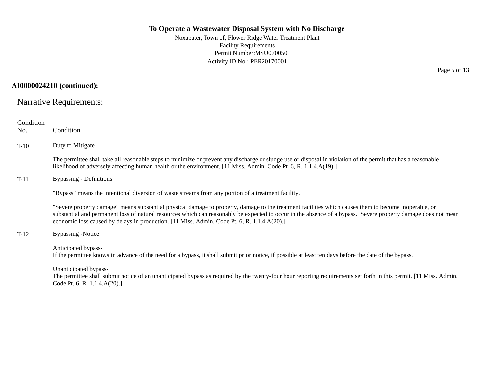Noxapater, Town of, Flower Ridge Water Treatment Plant Facility Requirements Permit Number:MSU070050 Activity ID No.: PER20170001

**AI0000024210 (continued):**

Narrative Requirements:

| Condition<br>No. | Condition                                                                                                                                                                                                                                                                                                                                                                                                              |
|------------------|------------------------------------------------------------------------------------------------------------------------------------------------------------------------------------------------------------------------------------------------------------------------------------------------------------------------------------------------------------------------------------------------------------------------|
| $T-10$           | Duty to Mitigate                                                                                                                                                                                                                                                                                                                                                                                                       |
|                  | The permittee shall take all reasonable steps to minimize or prevent any discharge or sludge use or disposal in violation of the permit that has a reasonable<br>likelihood of adversely affecting human health or the environment. [11 Miss. Admin. Code Pt. 6, R. 1.1.4.A(19).]                                                                                                                                      |
| $T-11$           | Bypassing - Definitions                                                                                                                                                                                                                                                                                                                                                                                                |
|                  | "Bypass" means the intentional diversion of waste streams from any portion of a treatment facility.                                                                                                                                                                                                                                                                                                                    |
|                  | "Severe property damage" means substantial physical damage to property, damage to the treatment facilities which causes them to become inoperable, or<br>substantial and permanent loss of natural resources which can reasonably be expected to occur in the absence of a bypass. Severe property damage does not mean<br>economic loss caused by delays in production. [11 Miss. Admin. Code Pt. 6, R. 1.1.4.A(20).] |
| $T-12$           | Bypassing -Notice                                                                                                                                                                                                                                                                                                                                                                                                      |
|                  | Anticipated bypass-<br>If the permittee knows in advance of the need for a bypass, it shall submit prior notice, if possible at least ten days before the date of the bypass.                                                                                                                                                                                                                                          |
|                  | Unanticipated bypass-<br>The permittee shall submit notice of an unanticipated bypass as required by the twenty-four hour reporting requirements set forth in this permit. [11 Miss. Admin.]<br>Code Pt. 6, R. $1.1.4.A(20).$                                                                                                                                                                                          |
|                  |                                                                                                                                                                                                                                                                                                                                                                                                                        |

Page 5 of 13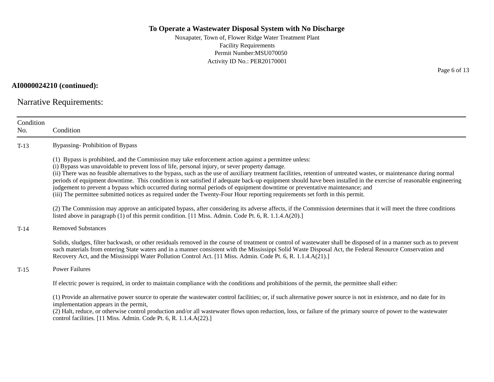Noxapater, Town of, Flower Ridge Water Treatment Plant Facility Requirements Permit Number:MSU070050 Activity ID No.: PER20170001

**AI0000024210 (continued):**

Narrative Requirements:

| Condition<br>No. | Condition                                                                                                                                                                                                                                                                                                                                                                                                                                                                                                                                                                                                                                                                                                                                                                                                          |
|------------------|--------------------------------------------------------------------------------------------------------------------------------------------------------------------------------------------------------------------------------------------------------------------------------------------------------------------------------------------------------------------------------------------------------------------------------------------------------------------------------------------------------------------------------------------------------------------------------------------------------------------------------------------------------------------------------------------------------------------------------------------------------------------------------------------------------------------|
| $T-13$           | <b>Bypassing-Prohibition of Bypass</b>                                                                                                                                                                                                                                                                                                                                                                                                                                                                                                                                                                                                                                                                                                                                                                             |
|                  | (1) Bypass is prohibited, and the Commission may take enforcement action against a permittee unless:<br>(i) Bypass was unavoidable to prevent loss of life, personal injury, or sever property damage.<br>(ii) There was no feasible alternatives to the bypass, such as the use of auxiliary treatment facilities, retention of untreated wastes, or maintenance during normal<br>periods of equipment downtime. This condition is not satisfied if adequate back-up equipment should have been installed in the exercise of reasonable engineering<br>judgement to prevent a bypass which occurred during normal periods of equipment downtime or preventative maintenance; and<br>(iii) The permittee submitted notices as required under the Twenty-Four Hour reporting requirements set forth in this permit. |
|                  | (2) The Commission may approve an anticipated bypass, after considering its adverse affects, if the Commission determines that it will meet the three conditions<br>listed above in paragraph $(1)$ of this permit condition. [11 Miss. Admin. Code Pt. 6, R. 1.1.4.A $(20)$ .]                                                                                                                                                                                                                                                                                                                                                                                                                                                                                                                                    |
| $T-14$           | <b>Removed Substances</b>                                                                                                                                                                                                                                                                                                                                                                                                                                                                                                                                                                                                                                                                                                                                                                                          |
|                  | Solids, sludges, filter backwash, or other residuals removed in the course of treatment or control of wastewater shall be disposed of in a manner such as to prevent<br>such materials from entering State waters and in a manner consistent with the Mississippi Solid Waste Disposal Act, the Federal Resource Conservation and<br>Recovery Act, and the Mississippi Water Pollution Control Act. [11 Miss. Admin. Code Pt. 6, R. 1.1.4.A(21).]                                                                                                                                                                                                                                                                                                                                                                  |
| $T-15$           | <b>Power Failures</b>                                                                                                                                                                                                                                                                                                                                                                                                                                                                                                                                                                                                                                                                                                                                                                                              |
|                  | If electric power is required, in order to maintain compliance with the conditions and prohibitions of the permit, the permittee shall either:                                                                                                                                                                                                                                                                                                                                                                                                                                                                                                                                                                                                                                                                     |
|                  | (1) Provide an alternative power source to operate the wastewater control facilities; or, if such alternative power source is not in existence, and no date for its<br>implementation appears in the permit,<br>(2) Halt, reduce, or otherwise control production and/or all wastewater flows upon reduction, loss, or failure of the primary source of power to the wastewater<br>control facilities. [11 Miss. Admin. Code Pt. 6, R. 1.1.4.A(22).]                                                                                                                                                                                                                                                                                                                                                               |

Page 6 of 13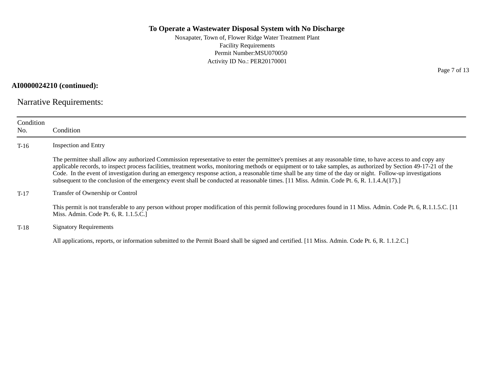Noxapater, Town of, Flower Ridge Water Treatment Plant Facility Requirements Permit Number:MSU070050 Activity ID No.: PER20170001

**AI0000024210 (continued):**

Narrative Requirements:

| Condition<br>No. | Condition                                                                                                                                                                                                                                                                                                                                                                                                                                                                                                                                                                                                                                  |
|------------------|--------------------------------------------------------------------------------------------------------------------------------------------------------------------------------------------------------------------------------------------------------------------------------------------------------------------------------------------------------------------------------------------------------------------------------------------------------------------------------------------------------------------------------------------------------------------------------------------------------------------------------------------|
| $T-16$           | <b>Inspection and Entry</b>                                                                                                                                                                                                                                                                                                                                                                                                                                                                                                                                                                                                                |
|                  | The permittee shall allow any authorized Commission representative to enter the permittee's premises at any reasonable time, to have access to and copy any<br>applicable records, to inspect process facilities, treatment works, monitoring methods or equipment or to take samples, as authorized by Section 49-17-21 of the<br>Code. In the event of investigation during an emergency response action, a reasonable time shall be any time of the day or night. Follow-up investigations<br>subsequent to the conclusion of the emergency event shall be conducted at reasonable times. [11 Miss. Admin. Code Pt. 6, R. 1.1.4.A(17).] |
| $T-17$           | Transfer of Ownership or Control                                                                                                                                                                                                                                                                                                                                                                                                                                                                                                                                                                                                           |
|                  | This permit is not transferable to any person without proper modification of this permit following procedures found in 11 Miss. Admin. Code Pt. 6, R.1.1.5.C. [11]<br>Miss. Admin. Code Pt. 6, R. 1.1.5.C.                                                                                                                                                                                                                                                                                                                                                                                                                                 |
| $T-18$           | <b>Signatory Requirements</b>                                                                                                                                                                                                                                                                                                                                                                                                                                                                                                                                                                                                              |
|                  | All applications, reports, or information submitted to the Permit Board shall be signed and certified. [11 Miss. Admin. Code Pt. 6, R. 1.1.2.C.]                                                                                                                                                                                                                                                                                                                                                                                                                                                                                           |

Page 7 of 13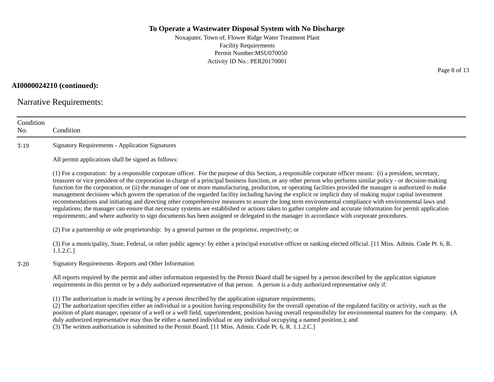Noxapater, Town of, Flower Ridge Water Treatment Plant Facility Requirements Permit Number:MSU070050 Activity ID No.: PER20170001

**AI0000024210 (continued):**

Narrative Requirements:

| Condition<br>No. | Condition                                                                                                                                                                                                                                                                                                                                                                                                                                                                                                                                                                                                                                                                                                                                                                                                                                                                                                                                                                                                                                                                                                                                   |
|------------------|---------------------------------------------------------------------------------------------------------------------------------------------------------------------------------------------------------------------------------------------------------------------------------------------------------------------------------------------------------------------------------------------------------------------------------------------------------------------------------------------------------------------------------------------------------------------------------------------------------------------------------------------------------------------------------------------------------------------------------------------------------------------------------------------------------------------------------------------------------------------------------------------------------------------------------------------------------------------------------------------------------------------------------------------------------------------------------------------------------------------------------------------|
| $T-19$           | <b>Signatory Requirements - Application Signatures</b>                                                                                                                                                                                                                                                                                                                                                                                                                                                                                                                                                                                                                                                                                                                                                                                                                                                                                                                                                                                                                                                                                      |
|                  | All permit applications shall be signed as follows:                                                                                                                                                                                                                                                                                                                                                                                                                                                                                                                                                                                                                                                                                                                                                                                                                                                                                                                                                                                                                                                                                         |
|                  | (1) For a corporation: by a responsible corporate officer. For the purpose of this Section, a responsible corporate officer means: (i) a president, secretary,<br>treasurer or vice president of the corporation in charge of a principal business function, or any other person who performs similar policy - or decision-making<br>function for the corporation, or (ii) the manager of one or more manufacturing, production, or operating facilities provided the manager is authorized to make<br>management decisions which govern the operation of the regarded facility including having the explicit or implicit duty of making major capital investment<br>recommendations and initiating and directing other comprehensive measures to assure the long term environmental compliance with environmental laws and<br>regulations; the manager can ensure that necessary systems are established or actions taken to gather complete and accurate information for permit application<br>requirements; and where authority to sign documents has been assigned or delegated to the manager in accordance with corporate procedures. |
|                  | (2) For a partnership or sole proprietorship: by a general partner or the proprietor, respectively; or                                                                                                                                                                                                                                                                                                                                                                                                                                                                                                                                                                                                                                                                                                                                                                                                                                                                                                                                                                                                                                      |
|                  | (3) For a municipality, State, Federal, or other public agency: by either a principal executive officer or ranking elected official. [11 Miss. Admin. Code Pt. 6, R.<br>1.1.2.C.                                                                                                                                                                                                                                                                                                                                                                                                                                                                                                                                                                                                                                                                                                                                                                                                                                                                                                                                                            |
| $T-20$           | Signatory Requirements - Reports and Other Information                                                                                                                                                                                                                                                                                                                                                                                                                                                                                                                                                                                                                                                                                                                                                                                                                                                                                                                                                                                                                                                                                      |
|                  | All reports required by the permit and other information requested by the Permit Board shall be signed by a person described by the application signature<br>requirements in this permit or by a duly authorized representative of that person. A person is a duly authorized representative only if:                                                                                                                                                                                                                                                                                                                                                                                                                                                                                                                                                                                                                                                                                                                                                                                                                                       |
|                  | (1) The authorization is made in writing by a person described by the application signature requirements;<br>(2) The authorization specifies either an individual or a position having responsibility for the overall operation of the regulated facility or activity, such as the<br>position of plant manager, operator of a well or a well field, superintendent, position having overall responsibility for environmental matters for the company. (A<br>duly authorized representative may thus be either a named individual or any individual occupying a named position.); and<br>(3) The written authorization is submitted to the Permit Board. [11 Miss. Admin. Code Pt. 6, R. 1.1.2.C.]                                                                                                                                                                                                                                                                                                                                                                                                                                          |

Page 8 of 13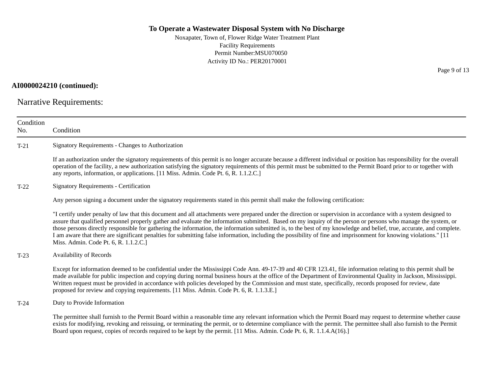Noxapater, Town of, Flower Ridge Water Treatment Plant Facility Requirements Permit Number:MSU070050 Activity ID No.: PER20170001

## **AI0000024210 (continued):**

Narrative Requirements:

| Condition<br>No. | Condition                                                                                                                                                                                                                                                                                                                                                                                                                                                                                                                                                                                                                                                                                                                |
|------------------|--------------------------------------------------------------------------------------------------------------------------------------------------------------------------------------------------------------------------------------------------------------------------------------------------------------------------------------------------------------------------------------------------------------------------------------------------------------------------------------------------------------------------------------------------------------------------------------------------------------------------------------------------------------------------------------------------------------------------|
| $T-21$           | Signatory Requirements - Changes to Authorization                                                                                                                                                                                                                                                                                                                                                                                                                                                                                                                                                                                                                                                                        |
|                  | If an authorization under the signatory requirements of this permit is no longer accurate because a different individual or position has responsibility for the overall<br>operation of the facility, a new authorization satisfying the signatory requirements of this permit must be submitted to the Permit Board prior to or together with<br>any reports, information, or applications. [11 Miss. Admin. Code Pt. 6, R. 1.1.2.C.]                                                                                                                                                                                                                                                                                   |
| $T-22$           | <b>Signatory Requirements - Certification</b>                                                                                                                                                                                                                                                                                                                                                                                                                                                                                                                                                                                                                                                                            |
|                  | Any person signing a document under the signatory requirements stated in this permit shall make the following certification:                                                                                                                                                                                                                                                                                                                                                                                                                                                                                                                                                                                             |
|                  | "I certify under penalty of law that this document and all attachments were prepared under the direction or supervision in accordance with a system designed to<br>assure that qualified personnel properly gather and evaluate the information submitted. Based on my inquiry of the person or persons who manage the system, or<br>those persons directly responsible for gathering the information, the information submitted is, to the best of my knowledge and belief, true, accurate, and complete.<br>I am aware that there are significant penalties for submitting false information, including the possibility of fine and imprisonment for knowing violations." [11]<br>Miss. Admin. Code Pt. 6, R. 1.1.2.C. |
| $T-23$           | Availability of Records                                                                                                                                                                                                                                                                                                                                                                                                                                                                                                                                                                                                                                                                                                  |
|                  | Except for information deemed to be confidential under the Mississippi Code Ann. 49-17-39 and 40 CFR 123.41, file information relating to this permit shall be<br>made available for public inspection and copying during normal business hours at the office of the Department of Environmental Quality in Jackson, Mississippi.<br>Written request must be provided in accordance with policies developed by the Commission and must state, specifically, records proposed for review, date<br>proposed for review and copying requirements. [11 Miss. Admin. Code Pt. 6, R. 1.1.3.E.]                                                                                                                                 |
| $T-24$           | Duty to Provide Information                                                                                                                                                                                                                                                                                                                                                                                                                                                                                                                                                                                                                                                                                              |
|                  | The permittee shall furnish to the Permit Board within a reasonable time any relevant information which the Permit Board may request to determine whether cause<br>exists for modifying, revoking and reissuing, or terminating the permit, or to determine compliance with the permit. The permittee shall also furnish to the Permit<br>Board upon request, copies of records required to be kept by the permit. [11 Miss. Admin. Code Pt. 6, R. 1.1.4.A(16).]                                                                                                                                                                                                                                                         |

Page 9 of 13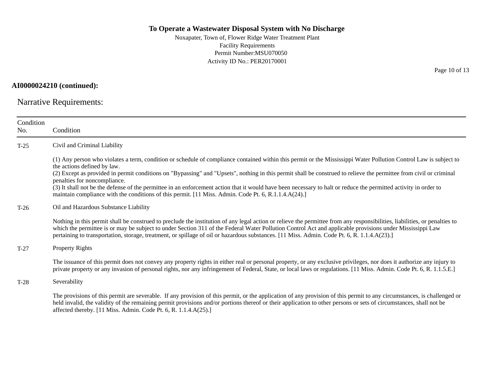Noxapater, Town of, Flower Ridge Water Treatment Plant Facility Requirements Permit Number:MSU070050 Activity ID No.: PER20170001

**AI0000024210 (continued):**

Narrative Requirements:

| Condition<br>No. | Condition                                                                                                                                                                                                                                                                                                                                                                                                                                                                             |  |  |
|------------------|---------------------------------------------------------------------------------------------------------------------------------------------------------------------------------------------------------------------------------------------------------------------------------------------------------------------------------------------------------------------------------------------------------------------------------------------------------------------------------------|--|--|
| $T-25$           | Civil and Criminal Liability                                                                                                                                                                                                                                                                                                                                                                                                                                                          |  |  |
|                  | (1) Any person who violates a term, condition or schedule of compliance contained within this permit or the Mississippi Water Pollution Control Law is subject to<br>the actions defined by law.                                                                                                                                                                                                                                                                                      |  |  |
|                  | (2) Except as provided in permit conditions on "Bypassing" and "Upsets", nothing in this permit shall be construed to relieve the permittee from civil or criminal<br>penalties for noncompliance.                                                                                                                                                                                                                                                                                    |  |  |
|                  | (3) It shall not be the defense of the permittee in an enforcement action that it would have been necessary to halt or reduce the permitted activity in order to<br>maintain compliance with the conditions of this permit. [11 Miss. Admin. Code Pt. 6, R.1.1.4.A(24).]                                                                                                                                                                                                              |  |  |
| $T-26$           | Oil and Hazardous Substance Liability                                                                                                                                                                                                                                                                                                                                                                                                                                                 |  |  |
|                  | Nothing in this permit shall be construed to preclude the institution of any legal action or relieve the permittee from any responsibilities, liabilities, or penalties to<br>which the permittee is or may be subject to under Section 311 of the Federal Water Pollution Control Act and applicable provisions under Mississippi Law<br>pertaining to transportation, storage, treatment, or spillage of oil or hazardous substances. [11 Miss. Admin. Code Pt. 6, R. 1.1.4.A(23).] |  |  |
| $T-27$           | <b>Property Rights</b>                                                                                                                                                                                                                                                                                                                                                                                                                                                                |  |  |
|                  | The issuance of this permit does not convey any property rights in either real or personal property, or any exclusive privileges, nor does it authorize any injury to<br>private property or any invasion of personal rights, nor any infringement of Federal, State, or local laws or regulations. [11 Miss. Admin. Code Pt. 6, R. 1.1.5.E.]                                                                                                                                         |  |  |
| $T-28$           | Severability                                                                                                                                                                                                                                                                                                                                                                                                                                                                          |  |  |
|                  | The provisions of this permit are severable. If any provision of this permit, or the application of any provision of this permit to any circumstances, is challenged or<br>held invalid, the validity of the remaining permit provisions and/or portions thereof or their application to other persons or sets of circumstances, shall not be<br>affected thereby. $[11 \text{ Miss. } \text{Admin. } \text{Code Pt. } 6, \text{R. } 1.1.4 \text{.} A(25).]$                          |  |  |

Page 10 of 13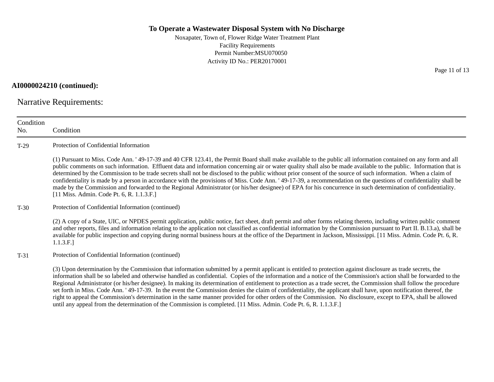Noxapater, Town of, Flower Ridge Water Treatment Plant Facility Requirements Permit Number:MSU070050 Activity ID No.: PER20170001

**AI0000024210 (continued):**

Narrative Requirements:

| Condition<br>No. | Condition                                                                                                                                                                                                                                                                                                                                                                                                                                                                                                                                                                                                                                                                                                                                                                                                                                                                                 |
|------------------|-------------------------------------------------------------------------------------------------------------------------------------------------------------------------------------------------------------------------------------------------------------------------------------------------------------------------------------------------------------------------------------------------------------------------------------------------------------------------------------------------------------------------------------------------------------------------------------------------------------------------------------------------------------------------------------------------------------------------------------------------------------------------------------------------------------------------------------------------------------------------------------------|
| $T-29$           | Protection of Confidential Information                                                                                                                                                                                                                                                                                                                                                                                                                                                                                                                                                                                                                                                                                                                                                                                                                                                    |
|                  | (1) Pursuant to Miss. Code Ann. '49-17-39 and 40 CFR 123.41, the Permit Board shall make available to the public all information contained on any form and all<br>public comments on such information. Effluent data and information concerning air or water quality shall also be made available to the public. Information that is<br>determined by the Commission to be trade secrets shall not be disclosed to the public without prior consent of the source of such information. When a claim of<br>confidentiality is made by a person in accordance with the provisions of Miss. Code Ann. '49-17-39, a recommendation on the questions of confidentiality shall be<br>made by the Commission and forwarded to the Regional Administrator (or his/her designee) of EPA for his concurrence in such determination of confidentiality.<br>[11 Miss. Admin. Code Pt. 6, R. 1.1.3.F.] |
| $T-30$           | Protection of Confidential Information (continued)                                                                                                                                                                                                                                                                                                                                                                                                                                                                                                                                                                                                                                                                                                                                                                                                                                        |
|                  | (2) A copy of a State, UIC, or NPDES permit application, public notice, fact sheet, draft permit and other forms relating thereto, including written public comment<br>and other reports, files and information relating to the application not classified as confidential information by the Commission pursuant to Part II. B.13.a), shall be<br>available for public inspection and copying during normal business hours at the office of the Department in Jackson, Mississippi. [11 Miss. Admin. Code Pt. 6, R.<br>1.1.3.F.]                                                                                                                                                                                                                                                                                                                                                         |
| $T-31$           | Protection of Confidential Information (continued)                                                                                                                                                                                                                                                                                                                                                                                                                                                                                                                                                                                                                                                                                                                                                                                                                                        |
|                  | (3) Upon determination by the Commission that information submitted by a permit applicant is entitled to protection against disclosure as trade secrets, the<br>information shall be so labeled and otherwise handled as confidential. Copies of the information and a notice of the Commission's action shall be forwarded to the<br>Regional Administrator (or his/her designee). In making its determination of entitlement to protection as a trade secret, the Commission shall follow the procedure<br>set forth in Miss. Code Ann. '49-17-39. In the event the Commission denies the claim of confidentiality, the applicant shall have, upon notification thereof, the<br>right to appeal the Commission's determination in the same manner provided for other orders of the Commission. No disclosure, except to EPA, shall be allowed                                           |

until any appeal from the determination of the Commission is completed. [11 Miss. Admin. Code Pt. 6, R. 1.1.3.F.]

Page 11 of 13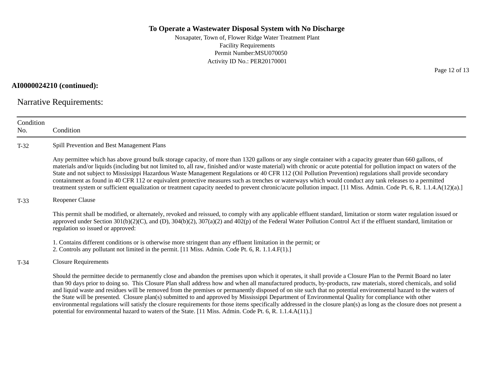Noxapater, Town of, Flower Ridge Water Treatment Plant Facility Requirements Permit Number:MSU070050 Activity ID No.: PER20170001

**AI0000024210 (continued):**

Narrative Requirements:

| Condition<br>No. | Condition                                                                                                                                                                                                                                                                                                                                                                                                                                                                                                                                                                                                                                                                                                                                                                                                                                                                                                                                          |  |  |
|------------------|----------------------------------------------------------------------------------------------------------------------------------------------------------------------------------------------------------------------------------------------------------------------------------------------------------------------------------------------------------------------------------------------------------------------------------------------------------------------------------------------------------------------------------------------------------------------------------------------------------------------------------------------------------------------------------------------------------------------------------------------------------------------------------------------------------------------------------------------------------------------------------------------------------------------------------------------------|--|--|
| $T-32$           | Spill Prevention and Best Management Plans                                                                                                                                                                                                                                                                                                                                                                                                                                                                                                                                                                                                                                                                                                                                                                                                                                                                                                         |  |  |
|                  | Any permittee which has above ground bulk storage capacity, of more than 1320 gallons or any single container with a capacity greater than 660 gallons, of<br>materials and/or liquids (including but not limited to, all raw, finished and/or waste material) with chronic or acute potential for pollution impact on waters of the<br>State and not subject to Mississippi Hazardous Waste Management Regulations or 40 CFR 112 (Oil Pollution Prevention) regulations shall provide secondary<br>containment as found in 40 CFR 112 or equivalent protective measures such as trenches or waterways which would conduct any tank releases to a permitted<br>treatment system or sufficient equalization or treatment capacity needed to prevent chronic/acute pollution impact. [11 Miss. Admin. Code Pt. 6, R. 1.1.4.A(12)(a).]                                                                                                                |  |  |
| $T-33$           | <b>Reopener Clause</b>                                                                                                                                                                                                                                                                                                                                                                                                                                                                                                                                                                                                                                                                                                                                                                                                                                                                                                                             |  |  |
|                  | This permit shall be modified, or alternately, revoked and reissued, to comply with any applicable effluent standard, limitation or storm water regulation issued or<br>approved under Section $301(b)(2)(C)$ , and (D), $304(b)(2)$ , $307(a)(2)$ and $402(p)$ of the Federal Water Pollution Control Act if the effluent standard, limitation or<br>regulation so issued or approved:                                                                                                                                                                                                                                                                                                                                                                                                                                                                                                                                                            |  |  |
|                  | 1. Contains different conditions or is otherwise more stringent than any effluent limitation in the permit; or<br>2. Controls any pollutant not limited in the permit. [11 Miss. Admin. Code Pt. 6, R. 1.1.4.F(1).]                                                                                                                                                                                                                                                                                                                                                                                                                                                                                                                                                                                                                                                                                                                                |  |  |
| $T-34$           | <b>Closure Requirements</b>                                                                                                                                                                                                                                                                                                                                                                                                                                                                                                                                                                                                                                                                                                                                                                                                                                                                                                                        |  |  |
|                  | Should the permittee decide to permanently close and abandon the premises upon which it operates, it shall provide a Closure Plan to the Permit Board no later<br>than 90 days prior to doing so. This Closure Plan shall address how and when all manufactured products, by-products, raw materials, stored chemicals, and solid<br>and liquid waste and residues will be removed from the premises or permanently disposed of on site such that no potential environmental hazard to the waters of<br>the State will be presented. Closure plan(s) submitted to and approved by Mississippi Department of Environmental Quality for compliance with other<br>environmental regulations will satisfy the closure requirements for those items specifically addressed in the closure plan(s) as long as the closure does not present a<br>potential for environmental hazard to waters of the State. [11 Miss. Admin. Code Pt. 6, R. 1.1.4.A(11).] |  |  |

Page 12 of 13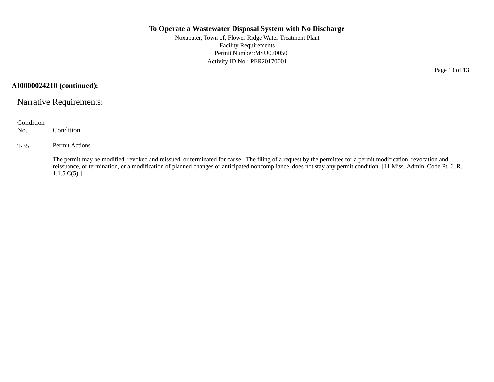Noxapater, Town of, Flower Ridge Water Treatment Plant Facility Requirements Permit Number:MSU070050 Activity ID No.: PER20170001

**AI0000024210 (continued):**

Narrative Requirements:

| Condition<br>No. | Condition:                                                                                                                                                                                                                                                                                                                                         |
|------------------|----------------------------------------------------------------------------------------------------------------------------------------------------------------------------------------------------------------------------------------------------------------------------------------------------------------------------------------------------|
| $T-35$           | Permit Actions                                                                                                                                                                                                                                                                                                                                     |
|                  | The permit may be modified, revoked and reissued, or terminated for cause. The filing of a request by the permittee for a permit modification, revocation and<br>reissuance, or termination, or a modification of planned changes or anticipated noncompliance, does not stay any permit condition. [11 Miss. Admin. Code Pt. 6, R.<br>1.1.5.C(5). |

Page 13 of 13